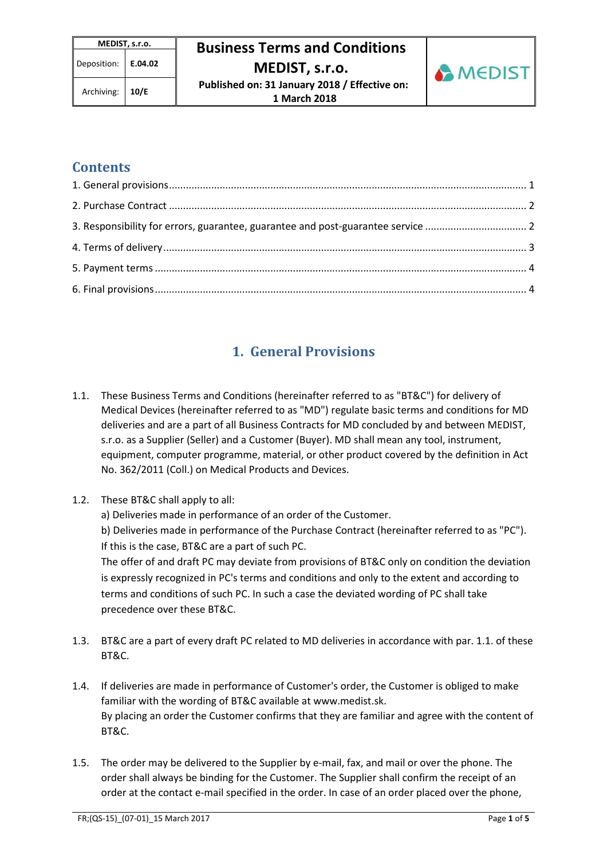Archiving: **10/E Published on: 31 January 2018 / Effective on: 1 March 2018** 



### **Contents**

| 3. Responsibility for errors, guarantee, guarantee and post-guarantee service  2 |  |
|----------------------------------------------------------------------------------|--|
|                                                                                  |  |
|                                                                                  |  |
|                                                                                  |  |

## **1. General Provisions**

- 1.1. These Business Terms and Conditions (hereinafter referred to as "BT&C") for delivery of Medical Devices (hereinafter referred to as "MD") regulate basic terms and conditions for MD deliveries and are a part of all Business Contracts for MD concluded by and between MEDIST, s.r.o. as a Supplier (Seller) and a Customer (Buyer). MD shall mean any tool, instrument, equipment, computer programme, material, or other product covered by the definition in Act No. 362/2011 (Coll.) on Medical Products and Devices.
- 1.2. These BT&C shall apply to all:
	- a) Deliveries made in performance of an order of the Customer.

b) Deliveries made in performance of the Purchase Contract (hereinafter referred to as "PC"). If this is the case, BT&C are a part of such PC.

The offer of and draft PC may deviate from provisions of BT&C only on condition the deviation is expressly recognized in PC's terms and conditions and only to the extent and according to terms and conditions of such PC. In such a case the deviated wording of PC shall take precedence over these BT&C.

- 1.3. BT&C are a part of every draft PC related to MD deliveries in accordance with par. 1.1. of these BT&C.
- 1.4. If deliveries are made in performance of Customer's order, the Customer is obliged to make familiar with the wording of BT&C available at www.medist.sk. By placing an order the Customer confirms that they are familiar and agree with the content of BT&C.
- 1.5. The order may be delivered to the Supplier by e-mail, fax, and mail or over the phone. The order shall always be binding for the Customer. The Supplier shall confirm the receipt of an order at the contact e-mail specified in the order. In case of an order placed over the phone,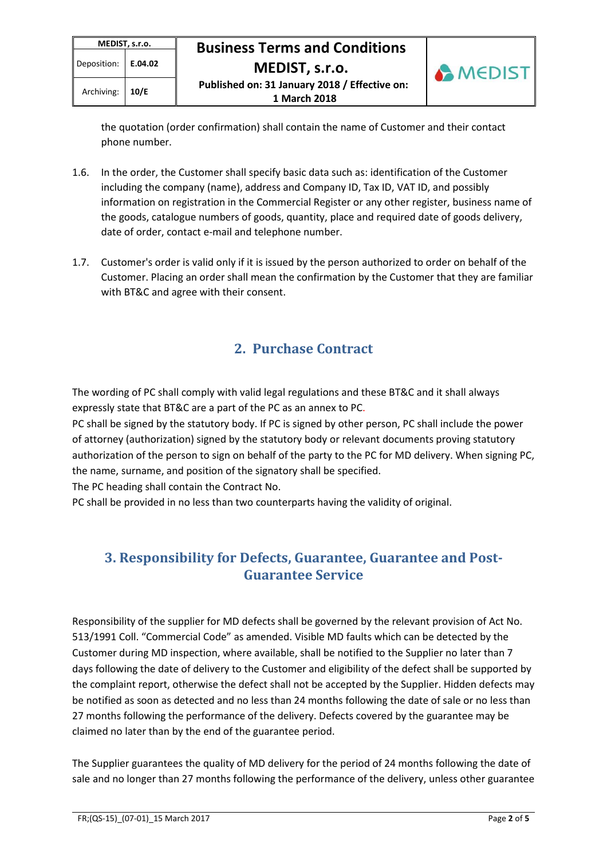

the quotation (order confirmation) shall contain the name of Customer and their contact phone number.

 **1 March 2018** 

- 1.6. In the order, the Customer shall specify basic data such as: identification of the Customer including the company (name), address and Company ID, Tax ID, VAT ID, and possibly information on registration in the Commercial Register or any other register, business name of the goods, catalogue numbers of goods, quantity, place and required date of goods delivery, date of order, contact e-mail and telephone number.
- 1.7. Customer's order is valid only if it is issued by the person authorized to order on behalf of the Customer. Placing an order shall mean the confirmation by the Customer that they are familiar with BT&C and agree with their consent.

## **2. Purchase Contract**

The wording of PC shall comply with valid legal regulations and these BT&C and it shall always expressly state that BT&C are a part of the PC as an annex to PC.

PC shall be signed by the statutory body. If PC is signed by other person, PC shall include the power of attorney (authorization) signed by the statutory body or relevant documents proving statutory authorization of the person to sign on behalf of the party to the PC for MD delivery. When signing PC, the name, surname, and position of the signatory shall be specified.

The PC heading shall contain the Contract No.

PC shall be provided in no less than two counterparts having the validity of original.

### **3. Responsibility for Defects, Guarantee, Guarantee and Post-Guarantee Service**

Responsibility of the supplier for MD defects shall be governed by the relevant provision of Act No. 513/1991 Coll. "Commercial Code" as amended. Visible MD faults which can be detected by the Customer during MD inspection, where available, shall be notified to the Supplier no later than 7 days following the date of delivery to the Customer and eligibility of the defect shall be supported by the complaint report, otherwise the defect shall not be accepted by the Supplier. Hidden defects may be notified as soon as detected and no less than 24 months following the date of sale or no less than 27 months following the performance of the delivery. Defects covered by the guarantee may be claimed no later than by the end of the guarantee period.

The Supplier guarantees the quality of MD delivery for the period of 24 months following the date of sale and no longer than 27 months following the performance of the delivery, unless other guarantee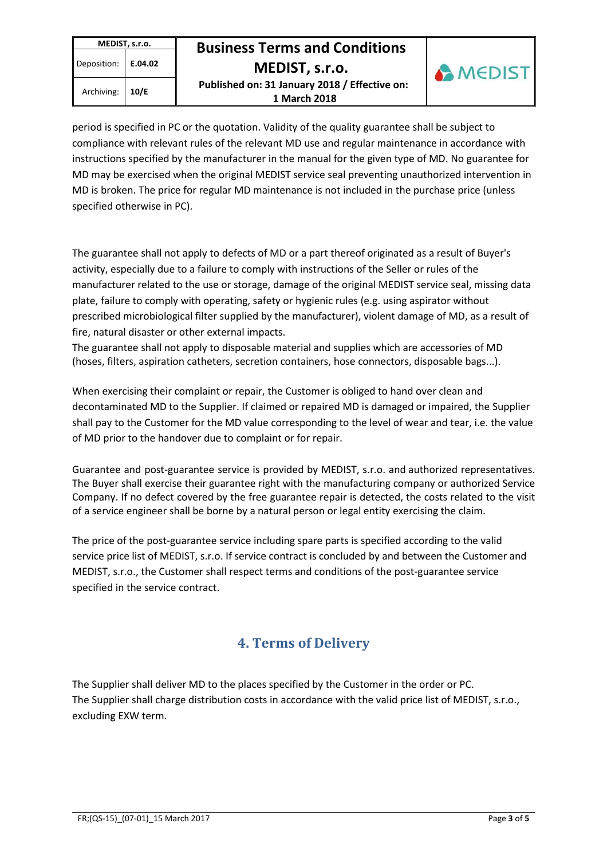**MEDIST, s.r.o.** Deposition: **E.04.02** 

# **MEDIST, s.r.o. Business Terms and Conditions**

Archiving: **10/E Published on: 31 January 2018 / Effective on: 1 March 2018** 



period is specified in PC or the quotation. Validity of the quality guarantee shall be subject to compliance with relevant rules of the relevant MD use and regular maintenance in accordance with instructions specified by the manufacturer in the manual for the given type of MD. No guarantee for MD may be exercised when the original MEDIST service seal preventing unauthorized intervention in MD is broken. The price for regular MD maintenance is not included in the purchase price (unless specified otherwise in PC).

The guarantee shall not apply to defects of MD or a part thereof originated as a result of Buyer's activity, especially due to a failure to comply with instructions of the Seller or rules of the manufacturer related to the use or storage, damage of the original MEDIST service seal, missing data plate, failure to comply with operating, safety or hygienic rules (e.g. using aspirator without prescribed microbiological filter supplied by the manufacturer), violent damage of MD, as a result of fire, natural disaster or other external impacts.

The guarantee shall not apply to disposable material and supplies which are accessories of MD (hoses, filters, aspiration catheters, secretion containers, hose connectors, disposable bags...).

When exercising their complaint or repair, the Customer is obliged to hand over clean and decontaminated MD to the Supplier. If claimed or repaired MD is damaged or impaired, the Supplier shall pay to the Customer for the MD value corresponding to the level of wear and tear, i.e. the value of MD prior to the handover due to complaint or for repair.

Guarantee and post-guarantee service is provided by MEDIST, s.r.o. and authorized representatives. The Buyer shall exercise their guarantee right with the manufacturing company or authorized Service Company. If no defect covered by the free guarantee repair is detected, the costs related to the visit of a service engineer shall be borne by a natural person or legal entity exercising the claim.

The price of the post-guarantee service including spare parts is specified according to the valid service price list of MEDIST, s.r.o. If service contract is concluded by and between the Customer and MEDIST, s.r.o., the Customer shall respect terms and conditions of the post-guarantee service specified in the service contract.

## **4. Terms of Delivery**

The Supplier shall deliver MD to the places specified by the Customer in the order or PC. The Supplier shall charge distribution costs in accordance with the valid price list of MEDIST, s.r.o., excluding EXW term.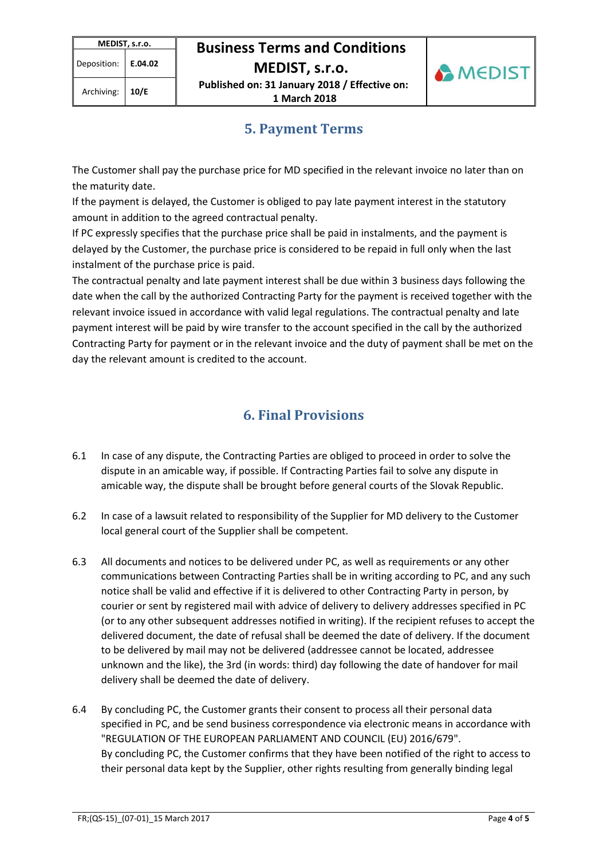Archiving: **10/E Published on: 31 January 2018 / Effective on: 1 March 2018** 



### **5. Payment Terms**

The Customer shall pay the purchase price for MD specified in the relevant invoice no later than on the maturity date.

If the payment is delayed, the Customer is obliged to pay late payment interest in the statutory amount in addition to the agreed contractual penalty.

If PC expressly specifies that the purchase price shall be paid in instalments, and the payment is delayed by the Customer, the purchase price is considered to be repaid in full only when the last instalment of the purchase price is paid.

The contractual penalty and late payment interest shall be due within 3 business days following the date when the call by the authorized Contracting Party for the payment is received together with the relevant invoice issued in accordance with valid legal regulations. The contractual penalty and late payment interest will be paid by wire transfer to the account specified in the call by the authorized Contracting Party for payment or in the relevant invoice and the duty of payment shall be met on the day the relevant amount is credited to the account.

## **6. Final Provisions**

- 6.1 In case of any dispute, the Contracting Parties are obliged to proceed in order to solve the dispute in an amicable way, if possible. If Contracting Parties fail to solve any dispute in amicable way, the dispute shall be brought before general courts of the Slovak Republic.
- 6.2 In case of a lawsuit related to responsibility of the Supplier for MD delivery to the Customer local general court of the Supplier shall be competent.
- 6.3 All documents and notices to be delivered under PC, as well as requirements or any other communications between Contracting Parties shall be in writing according to PC, and any such notice shall be valid and effective if it is delivered to other Contracting Party in person, by courier or sent by registered mail with advice of delivery to delivery addresses specified in PC (or to any other subsequent addresses notified in writing). If the recipient refuses to accept the delivered document, the date of refusal shall be deemed the date of delivery. If the document to be delivered by mail may not be delivered (addressee cannot be located, addressee unknown and the like), the 3rd (in words: third) day following the date of handover for mail delivery shall be deemed the date of delivery.
- 6.4 By concluding PC, the Customer grants their consent to process all their personal data specified in PC, and be send business correspondence via electronic means in accordance with "REGULATION OF THE EUROPEAN PARLIAMENT AND COUNCIL (EU) 2016/679". By concluding PC, the Customer confirms that they have been notified of the right to access to their personal data kept by the Supplier, other rights resulting from generally binding legal